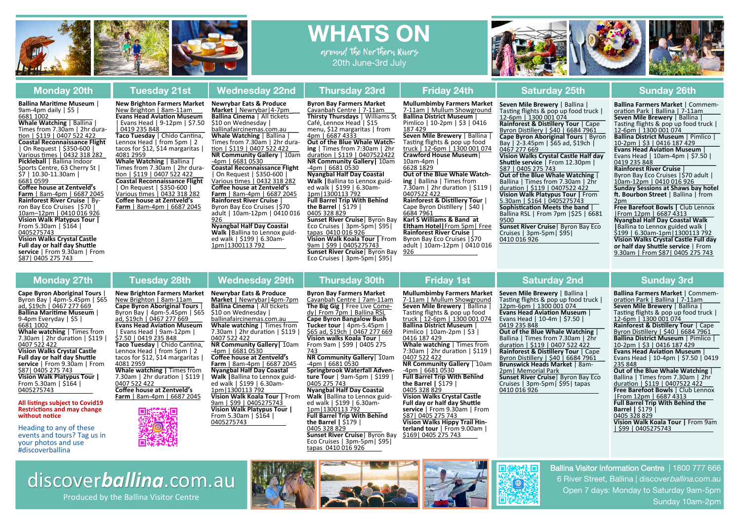



**Ballina MariƟme Museum** | 9am‐4pm daily | \$5 | 6681 1002\_\_\_\_\_

**Whale Watching** | Ballina | Times from 7.30am | 2hr dura-<br>tion | \$119 | 0407 522 422 **Coastal Reconnaissance Flight** | On Request | \$350‐600 | Various Ɵmes | 0432 318 282\_ **Pickleball** | Ballina Indoor Sports Centre, 63 Cherry St |<br>\$7 | 10.30-11.30am | 6681 0599

**Coffee house at Zentveld's Farm** | 8am‐4pm | 6687 2045 **Rainforest River Cruise** | By‐ ron Bay Eco Cruises |\$70 | 10am–12pm | 0410 016 926 **Vision Walk Platypus Tour |**  From 5.30am | \$164 | 0405275743**Vision Walks Crystal Castle** 

**Full day or half day Shuttle service** <sup>|</sup> From 9.30am <sup>|</sup> From \$87| <sup>0405</sup> <sup>275</sup> <sup>743</sup>

**Cape Byron Aboriginal Tours** | Byron Bay | 4pm‐5.45pm | \$65 ad, \$19ch | 0467 <sup>277</sup> 669 **Ballina MariƟme Museum** | 9‐4pm Everyday | \$5 | 6681 1002\_\_\_\_\_ **Whale watching** | Times from 7.30am | 2hr duraƟon | \$119 | 0407 522 422 **Vision Walks Crystal Castle Full day or half day Shuttle service** | From 9.30am | From<br>\$87| 0405 275 743 **Vision Walk Platypus Tour |**  From 5.30am | \$164 | 0405275743

## **All listings subject to Covid19 RestricƟons and may change without noƟce**

Heading to any of these events and tours? Tag us in your photos and use #discoverballina

### 0407 522 422 ‐4pm | 6681 0530 **Farm** | 8am‐4pm | 6687 2045 **Nyangbal Half Day Coastal Walk |**Ballina to Lennox guid‐ ed walk | \$199 | 6.30am‐ 1pm|1300113 792 **Vision Walk Koala Tour |** From **New Brighton Farmers Market**  New Brighton | 8am‐11am\_\_\_ **Cape Byron Aboriginal Tours** | Byron Bay | 4pm‐5.45pm | \$65 ad, \$19ch | 0467 <sup>277</sup> 669\_\_\_\_ **Evans Head AviaƟon Museum** | Evans Head | 9am-12pm |<br>\$7.50 | 0419 235 848 **Taco Tuesday** | Chido CanƟna, Lennox Head | from 5pm | 2 tacos for \$12, \$14 margaritas | 4081 2959\_\_\_\_\_\_\_\_\_\_\_\_\_\_ **Whale watching |** Times from 7.30am | 2hr duraƟon | \$119 | 0407 522 422 **Co ffee house at Zentveld's Farm** | 8am‐4pm | 6687 2045

New Brighton | 8am‐11am\_\_\_ **Evans Head Aviation Museum** | Evans Head | 9‐12pm | \$7.50

**Taco Tuesday** | Chido Cantina. Lennox Head | from 5pm | 2 tacos for \$12, \$14 margaritas | 4081 2959\_\_\_\_\_\_\_\_\_\_\_\_\_\_ **Whale Watching** | Ballina | Times from 7.30am | 2hr dura‐ tion | \$119 | 0407 522 422 **Coastal Reconnaissance Flight** | On Request | \$350‐600 | Various Ɵmes | 0432 318 282 **Coffee house at Zentveld's Farm** | 8am‐4pm | 6687 2045

| 0419 235 848\_\_\_\_\_\_\_\_\_\_\_\_\_



## **Newrybar Eats & Produce Market** | Newrybar|4‐7pm\_**\_\_ Ballina Cinema** | All tickets S10 on Wednesday | ballinafaircinemas.com.au **Whale Watching** | Ballina | Times from 7.30am | 2hr dura‐ tion | \$119 | 0407 522 422 **NR Community Gallery** | 10am ‐4pm | 6681 0530 **Coastal Reconnaissance Flight** | On Request | \$350‐600 | Various Ɵmes | 0432 318 282 **Coffee house at Zentveld's Farm** | 8am‐4pm | 6687 2045 **Rainforest River Cruise** | Byron Bay Eco Cruises |\$70 adult | 10am‐12pm | 0410 016 926**New Brighton Farmers Market**

 **Nyangbal Half Day Coastal Walk |**Ballina to Lennox guid‐ ed walk | \$199 | 6.30am‐ 1pm|1300113 792

9am | \$99 | 0405275743 **Vision Walk Platypus Tour |**  From 5.30am | \$164 | 0405275743

**Byron Bay Farmers Market**  Cavanbah Centre | 7‐11am\_\_\_ **Thirsty Thursdays** | Williams St Café, Lennox Head | \$15 menu, \$12 margaritas | from 4pm | 6687 4333\_ \_\_\_ **Out of the Blue Whale Watching** | Times from 7:30am | 2hr duraƟon | \$119 | 0407522422 **NR Community Gallery | 10am<br>-4pm | 6681 0530 Nyangbal Half Day Coastal Walk |**Ballina to Lennox guid‐ ed walk | \$199 | 6.30am‐ 1pm|1300113 792 **Full Barrel Trip With Behind the Barrel** | \$179 | 0405 328 829 **Sunset River Cruise**| Byron Bay Eco Cruises | 3pm‐5pm| \$95| tapas 0410 016 926

**Vision Walk Koala Tour |** From 9am | \$99 | 0405275743 **Sunset River Cruise**| Byron Bay Eco Cruises | 3pm‐5pm| \$95|

**Mullumbimby Farmers Market**  7‐11am | Mullum Showground **Ballina District Museum** | Pimlico | 10‐2pm | \$3 | 0416 187 429\_\_\_\_\_\_\_\_\_\_\_\_\_\_\_\_\_\_\_ **Seven Mile Brewery** | Ballina | Tasting flights & pop up food truck | 12‐6pm | 1300 001 074 **Crawford House Museum**| 10am‐4pm | 6628 1829

**Out of the Blue Whale Watching** | Ballina | Times from 7.30am | 2hr duraƟon | \$119 | 0407522 422\_\_\_ **Rainforest & Distillery Tour** Cape Byron DisƟllery | \$40 | 6684 7961

\_\_ **Karl S Williams & Band at Eltham Hotel|**From 5pm| Free **Rainforest River Cruise** | Byron Bay Eco Cruises |\$70 adult | 10am‐12pm | 0410 016 926

# **Seven Mile Brewery** | Ballina |

Tasting flights & pop up food truck | 12-6pm | 1300 001 074 **Rainforest & DisƟllery Tour** | Cape Byron Distillery | \$40 | 6684 7961 **Cape Byron Aboriginal Tours** | Byron Bay | <sup>2</sup>‐3.45pm | \$65 ad, \$19ch | 0467 277 669\_\_\_\_\_\_\_\_\_\_\_\_\_\_\_\_\_\_\_ **Vision Walks Crystal Castle Half day Shu <sup>Ʃ</sup>le service** <sup>|</sup> From 12.30pm <sup>|</sup> \$87 <sup>|</sup> <sup>0405</sup> <sup>275</sup> <sup>743</sup> **Out of the Blue Whale Watching** | Ballina | Times from 7.30am | 2hr duraƟon | \$119 | 0407522 422\_\_\_ **Vision Walk Platypus Tour |** From 5.30am | \$164 | 0405275743 **SophisƟcaƟon Meets the band** | Ballina RSL | From 7pm |\$25 | 6681 9500

 **Sunset River Cruise**| Byron Bay Eco Cruises | 3pm‐5pm| \$95| 0410 016 926

**Ballina Farmers Market** | Commem‐ oraƟon Park | Ballina | 7‐11am\_\_\_\_\_ **Seven Mile Brewery** | Ballina | Tasting flights & pop up food truck | 12‐6pm | 1300 001 074\_\_\_\_\_\_\_\_\_\_\_ **Ballina District Museum** | Pimlico | 10‐2pm | \$3 | 0416 187 429\_\_\_\_\_\_\_ **Evans Head AviaƟon Museum** | Evans Head | 10am‐4pm | \$7.50 | 0419 235 848\_\_\_\_\_\_\_\_\_\_\_\_\_\_\_\_\_\_ **Rainforest River Cruise** | Byron Bay Eco Cruises | \$70 adult | 10am‐12pm | 0410 016 926 **Sunday Sessions at Shaws bay hotel Ō. Bourbon Street** | Ballina | from  $2nm$ **Free Barefoot Bowls |** Club Lennox |From 12pm | 6687 4313 **Nyangbal Half Day Coastal Walk <sup>|</sup>**Ballina to Lennox guided walk <sup>|</sup> \$199 <sup>|</sup> 6.30am‐1pm|1300113 <sup>792</sup> **Vision Walks Crystal Castle Full day or half day Shu Ʃle service** | From 9.30am | From \$87| 0405 275 743

7‐11am | Mullum Showground **Seven Mile Brewery** | Ballina |

**Mullumbimby Farmers Market Seven Mile Brewery** | Ballina | Tasting flights & pop up food truck | 12pm-6pm | 1300 001 074 **Evans Head AviaƟon Museum** | Evans Head | 10‐4m | \$7.50 | 0419 235 848\_\_\_\_\_\_\_\_\_\_\_\_\_\_\_\_\_\_\_ **Out of the Blue Whale Watching** | Ballina | Times from 7.30am | 2hr duraƟon | \$119 | 0407 522 422\_\_\_ **Rainforest & Distillery Tour** | Cape Byron Distillery | \$40 | 6684 7961 **Brunswick Heads Market** | 8am‐ 2pm| Memorial Park **Sunset River Cruise**| Byron Bay Eco Cruises | 3pm‐5pm| \$95| tapas 0410 016 926

# Monday 27th Tuesday 28th Wednesday 29th Thursday 30th Friday 1st Saturday 2nd Sunday 3rd

**Ballina Farmers Market** | Commem‐ oraƟon Park | Ballina | 7‐11am\_\_\_\_\_ **Seven Mile Brewery** | Ballina | Tasting flights & pop up food truck | 12‐6pm | 1300 001 074\_\_\_\_\_\_\_\_\_\_\_ **Rainforest & Distillery Tour** | Cape Byron Distillery | \$40 | 6684 7961 **Ballina District Museum** | Pimlico | 10-2pm | \$3 | 0416 187 429 **Evans Head AviaƟon Museum** | Evans Head | 10‐4pm | \$7.50 | 0419 235 848 235 848<br>Out of the Blue Whale Watching | Ballina | Times from 7.30am | 2hr duraƟon | \$119 | 0407522 422\_\_\_ **Free Barefoot Bowls | Club Lennox** |From 12pm | 6687 4313 **Full Barrel Trip With Behind the Barrel |** \$179 | 0405 328 829 **Vision Walk Koala Tour |** From 9am | \$99 | 0405275743



### **Byron Bay Farmers Market**  Cavanbah Centre | 7am‐11am **The Big Gig |** Free Live Come‐ **Newrybar Eats & Produce Market** | Newrybar|4pm‐7pm **Ballina Cinema** | All tickets<br>\$10 on Wednesday |

dy| From 7pm | Ballina RSL **Cape Byron Bangalow Bush Tucker tour** | 4pm-5.45pm |<br>\$65 ad, \$19ch | 0467 277 669<br>**Vision walks Koala Tour** | From 9am | \$99 | 0405 275 743 **NR Community Gallery**| 10am ballinafaircinemas.com.au \_\_\_ **Whale watching** | Times from 7.30am | 2hr duraƟon | \$119 | **NR Community Gallery|** 10am **Co ffee house at Zentveld's** 

‐4pm | 6681 0530 **Springbrook Waterfall Adventure Tour** | 9am‐5pm | \$199 | 0405 275 743 **Nyangbal Half Day Coastal Walk |**Ballina to Lennox guid‐ ed walk | \$199 | 6.30am‐ 1pm|1300113 792 **Full Barrel Trip With Behind the Barrel |** \$179 | 0405 328 829 **Sunset River Cruise**| Byron Bay Eco Cruises | 3pm‐5pm| \$95| tapas 0410 016 926

Tasting flights & pop up food truck | 12‐6pm | 1300 001 074 **Ballina District Museum** | Pimlico | 10am‐2pm | \$3 | 0416 187 429\_\_\_\_\_\_\_\_\_\_\_\_\_ **Whale watching** | Times from 7:30am | 2hr duraƟon | \$119 | 0407 522 422 **NR Community Gallery** | 10am ‐4pm | 6681 0530 **Full Barrel Trip With Behind the Barrel |** \$179 | 0405 328 829 **Vision Walks Crystal Castle Full day or half day Shu Ʃle**  service | From 9.30am | From<br>\$87| 0405 275 743<br>Vision Walks Hippy Trail Hin**terland tour** | From 9.00am | \$169| 0405 275 743



discover*ballina*.com.au Produced by the Ballina Visitor Centre